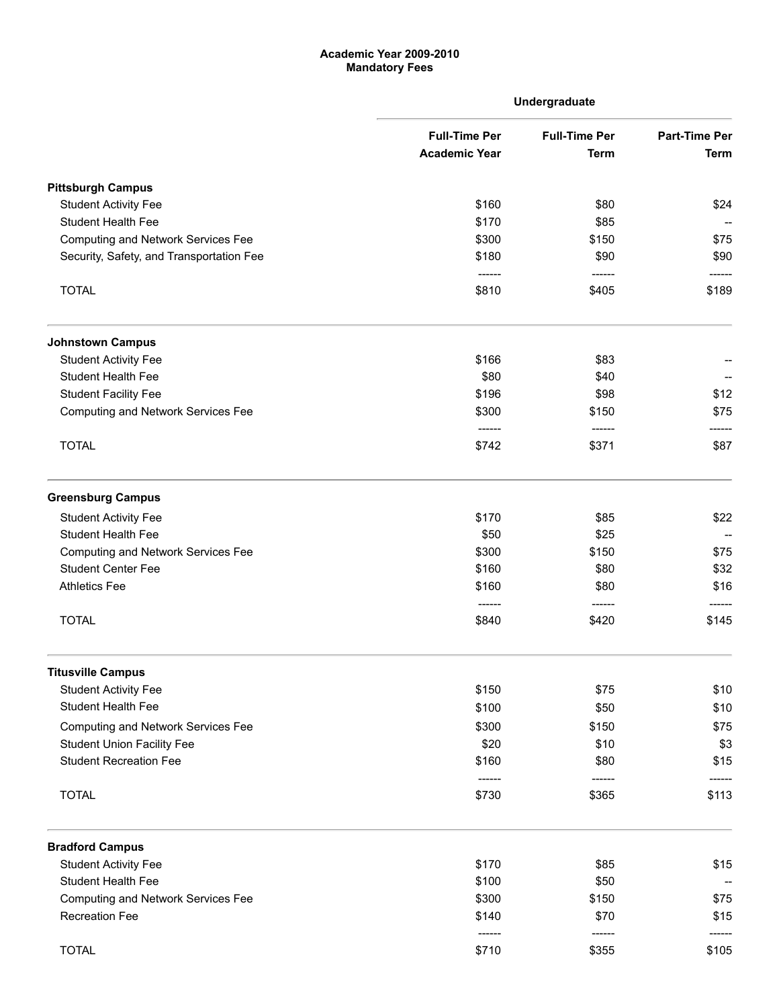## Academic Year 2009-2010 Mandatory Fees

|                                           |                                              | Undergraduate                       |                                     |
|-------------------------------------------|----------------------------------------------|-------------------------------------|-------------------------------------|
|                                           | <b>Full-Time Per</b><br><b>Academic Year</b> | <b>Full-Time Per</b><br><b>Term</b> | <b>Part-Time Per</b><br><b>Term</b> |
|                                           |                                              |                                     |                                     |
| <b>Pittsburgh Campus</b>                  |                                              |                                     |                                     |
| <b>Student Activity Fee</b>               | \$160                                        | \$80                                | \$24                                |
| Student Health Fee                        | \$170                                        | \$85                                |                                     |
| <b>Computing and Network Services Fee</b> | \$300                                        | \$150                               | \$75                                |
| Security, Safety, and Transportation Fee  | \$180<br>------                              | \$90<br>------                      | \$90                                |
| <b>TOTAL</b>                              | \$810                                        | \$405                               | \$189                               |
| <b>Johnstown Campus</b>                   |                                              |                                     |                                     |
| <b>Student Activity Fee</b>               | \$166                                        | \$83                                |                                     |
| <b>Student Health Fee</b>                 | \$80                                         | \$40                                |                                     |
| <b>Student Facility Fee</b>               | \$196                                        | \$98                                | \$12                                |
| <b>Computing and Network Services Fee</b> | \$300                                        | \$150                               | \$75                                |
| <b>TOTAL</b>                              | ------<br>\$742                              | ------<br>\$371                     | \$87                                |
| <b>Greensburg Campus</b>                  |                                              |                                     |                                     |
| <b>Student Activity Fee</b>               | \$170                                        | \$85                                | \$22                                |
| <b>Student Health Fee</b>                 | \$50                                         | \$25                                |                                     |
| <b>Computing and Network Services Fee</b> | \$300                                        | \$150                               | \$75                                |
| <b>Student Center Fee</b>                 | \$160                                        | \$80                                | \$32                                |
| <b>Athletics Fee</b>                      | \$160                                        | \$80                                | \$16                                |
| <b>TOTAL</b>                              | \$840                                        | \$420                               | \$145                               |
| <b>Titusville Campus</b>                  |                                              |                                     |                                     |
| <b>Student Activity Fee</b>               | \$150                                        | \$75                                | \$10                                |
| <b>Student Health Fee</b>                 | \$100                                        | \$50                                | \$10                                |
| <b>Computing and Network Services Fee</b> | \$300                                        | \$150                               | \$75                                |
| <b>Student Union Facility Fee</b>         | \$20                                         | \$10                                | \$3                                 |
| <b>Student Recreation Fee</b>             | \$160                                        | \$80                                | \$15                                |
| <b>TOTAL</b>                              | ------<br>\$730                              | ------<br>\$365                     | ------<br>\$113                     |
| <b>Bradford Campus</b>                    |                                              |                                     |                                     |
| <b>Student Activity Fee</b>               | \$170                                        | \$85                                | \$15                                |
| <b>Student Health Fee</b>                 | \$100                                        | \$50                                |                                     |
| <b>Computing and Network Services Fee</b> | \$300                                        | \$150                               | \$75                                |
| <b>Recreation Fee</b>                     | \$140                                        | \$70                                | \$15                                |
| <b>TOTAL</b>                              | ------<br>\$710                              | ------<br>\$355                     | \$105                               |